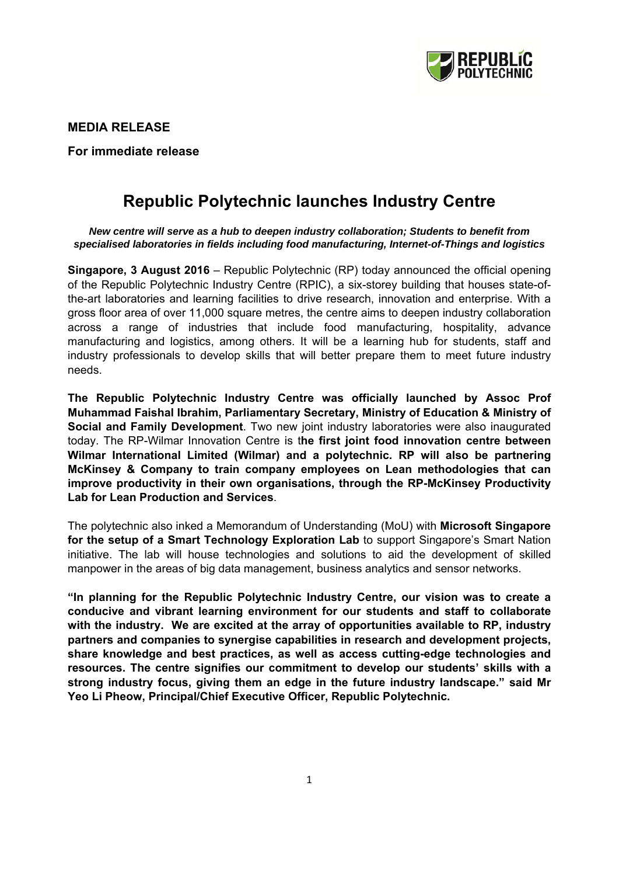

**MEDIA RELEASE** 

**For immediate release** 

# **Republic Polytechnic launches Industry Centre**

*New centre will serve as a hub to deepen industry collaboration; Students to benefit from specialised laboratories in fields including food manufacturing, Internet-of-Things and logistics* 

**Singapore, 3 August 2016** – Republic Polytechnic (RP) today announced the official opening of the Republic Polytechnic Industry Centre (RPIC), a six-storey building that houses state-ofthe-art laboratories and learning facilities to drive research, innovation and enterprise. With a gross floor area of over 11,000 square metres, the centre aims to deepen industry collaboration across a range of industries that include food manufacturing, hospitality, advance manufacturing and logistics, among others. It will be a learning hub for students, staff and industry professionals to develop skills that will better prepare them to meet future industry needs.

**The Republic Polytechnic Industry Centre was officially launched by Assoc Prof Muhammad Faishal Ibrahim, Parliamentary Secretary, Ministry of Education & Ministry of Social and Family Development**. Two new joint industry laboratories were also inaugurated today. The RP-Wilmar Innovation Centre is t**he first joint food innovation centre between Wilmar International Limited (Wilmar) and a polytechnic. RP will also be partnering McKinsey & Company to train company employees on Lean methodologies that can improve productivity in their own organisations, through the RP-McKinsey Productivity Lab for Lean Production and Services**.

The polytechnic also inked a Memorandum of Understanding (MoU) with **Microsoft Singapore for the setup of a Smart Technology Exploration Lab** to support Singapore's Smart Nation initiative. The lab will house technologies and solutions to aid the development of skilled manpower in the areas of big data management, business analytics and sensor networks.

**"In planning for the Republic Polytechnic Industry Centre, our vision was to create a conducive and vibrant learning environment for our students and staff to collaborate with the industry. We are excited at the array of opportunities available to RP, industry partners and companies to synergise capabilities in research and development projects, share knowledge and best practices, as well as access cutting-edge technologies and resources. The centre signifies our commitment to develop our students' skills with a strong industry focus, giving them an edge in the future industry landscape." said Mr Yeo Li Pheow, Principal/Chief Executive Officer, Republic Polytechnic.**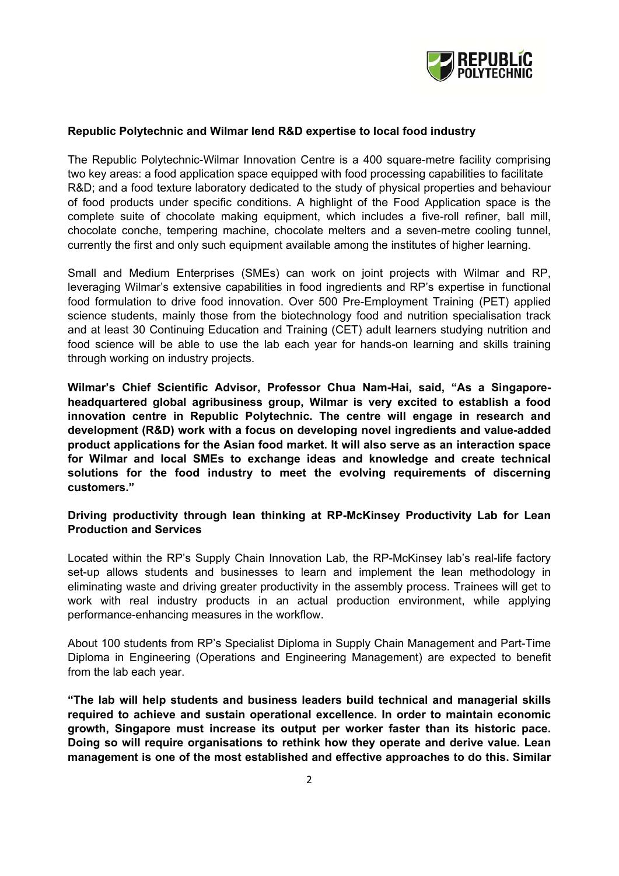

## **Republic Polytechnic and Wilmar lend R&D expertise to local food industry**

The Republic Polytechnic-Wilmar Innovation Centre is a 400 square-metre facility comprising two key areas: a food application space equipped with food processing capabilities to facilitate R&D; and a food texture laboratory dedicated to the study of physical properties and behaviour of food products under specific conditions. A highlight of the Food Application space is the complete suite of chocolate making equipment, which includes a five-roll refiner, ball mill, chocolate conche, tempering machine, chocolate melters and a seven-metre cooling tunnel, currently the first and only such equipment available among the institutes of higher learning.

Small and Medium Enterprises (SMEs) can work on joint projects with Wilmar and RP, leveraging Wilmar's extensive capabilities in food ingredients and RP's expertise in functional food formulation to drive food innovation. Over 500 Pre-Employment Training (PET) applied science students, mainly those from the biotechnology food and nutrition specialisation track and at least 30 Continuing Education and Training (CET) adult learners studying nutrition and food science will be able to use the lab each year for hands-on learning and skills training through working on industry projects.

**Wilmar's Chief Scientific Advisor, Professor Chua Nam-Hai, said, "As a Singaporeheadquartered global agribusiness group, Wilmar is very excited to establish a food innovation centre in Republic Polytechnic. The centre will engage in research and development (R&D) work with a focus on developing novel ingredients and value-added product applications for the Asian food market. It will also serve as an interaction space for Wilmar and local SMEs to exchange ideas and knowledge and create technical solutions for the food industry to meet the evolving requirements of discerning customers."** 

## **Driving productivity through lean thinking at RP-McKinsey Productivity Lab for Lean Production and Services**

Located within the RP's Supply Chain Innovation Lab, the RP-McKinsey lab's real-life factory set-up allows students and businesses to learn and implement the lean methodology in eliminating waste and driving greater productivity in the assembly process. Trainees will get to work with real industry products in an actual production environment, while applying performance-enhancing measures in the workflow.

About 100 students from RP's Specialist Diploma in Supply Chain Management and Part-Time Diploma in Engineering (Operations and Engineering Management) are expected to benefit from the lab each year.

**"The lab will help students and business leaders build technical and managerial skills required to achieve and sustain operational excellence. In order to maintain economic growth, Singapore must increase its output per worker faster than its historic pace. Doing so will require organisations to rethink how they operate and derive value. Lean management is one of the most established and effective approaches to do this. Similar**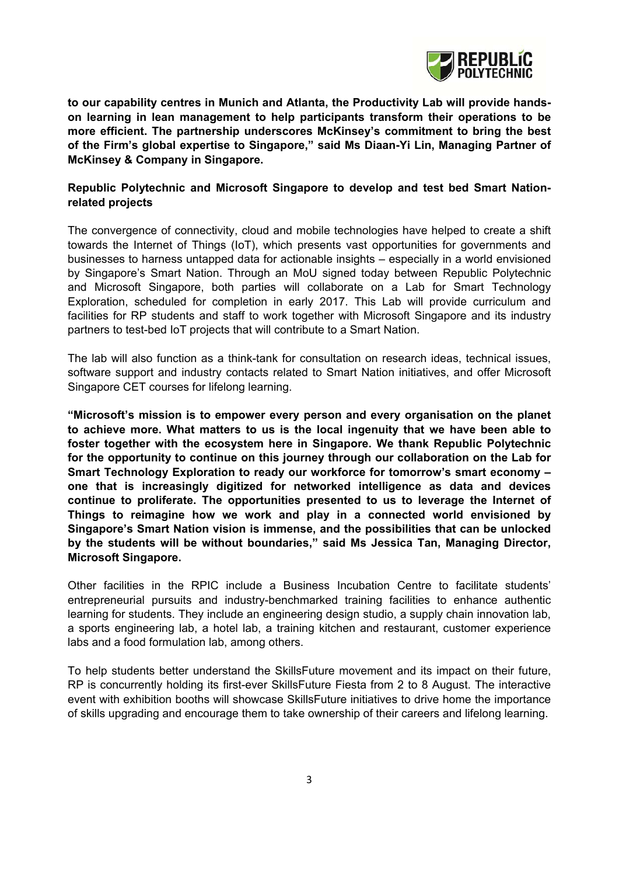

**to our capability centres in Munich and Atlanta, the Productivity Lab will provide handson learning in lean management to help participants transform their operations to be more efficient. The partnership underscores McKinsey's commitment to bring the best of the Firm's global expertise to Singapore," said Ms Diaan-Yi Lin, Managing Partner of McKinsey & Company in Singapore.** 

## **Republic Polytechnic and Microsoft Singapore to develop and test bed Smart Nationrelated projects**

The convergence of connectivity, cloud and mobile technologies have helped to create a shift towards the Internet of Things (IoT), which presents vast opportunities for governments and businesses to harness untapped data for actionable insights – especially in a world envisioned by Singapore's Smart Nation. Through an MoU signed today between Republic Polytechnic and Microsoft Singapore, both parties will collaborate on a Lab for Smart Technology Exploration, scheduled for completion in early 2017. This Lab will provide curriculum and facilities for RP students and staff to work together with Microsoft Singapore and its industry partners to test-bed IoT projects that will contribute to a Smart Nation.

The lab will also function as a think-tank for consultation on research ideas, technical issues, software support and industry contacts related to Smart Nation initiatives, and offer Microsoft Singapore CET courses for lifelong learning.

**"Microsoft's mission is to empower every person and every organisation on the planet to achieve more. What matters to us is the local ingenuity that we have been able to foster together with the ecosystem here in Singapore. We thank Republic Polytechnic for the opportunity to continue on this journey through our collaboration on the Lab for Smart Technology Exploration to ready our workforce for tomorrow's smart economy – one that is increasingly digitized for networked intelligence as data and devices continue to proliferate. The opportunities presented to us to leverage the Internet of Things to reimagine how we work and play in a connected world envisioned by Singapore's Smart Nation vision is immense, and the possibilities that can be unlocked by the students will be without boundaries," said Ms Jessica Tan, Managing Director, Microsoft Singapore.** 

Other facilities in the RPIC include a Business Incubation Centre to facilitate students' entrepreneurial pursuits and industry-benchmarked training facilities to enhance authentic learning for students. They include an engineering design studio, a supply chain innovation lab, a sports engineering lab, a hotel lab, a training kitchen and restaurant, customer experience labs and a food formulation lab, among others.

To help students better understand the SkillsFuture movement and its impact on their future, RP is concurrently holding its first-ever SkillsFuture Fiesta from 2 to 8 August. The interactive event with exhibition booths will showcase SkillsFuture initiatives to drive home the importance of skills upgrading and encourage them to take ownership of their careers and lifelong learning.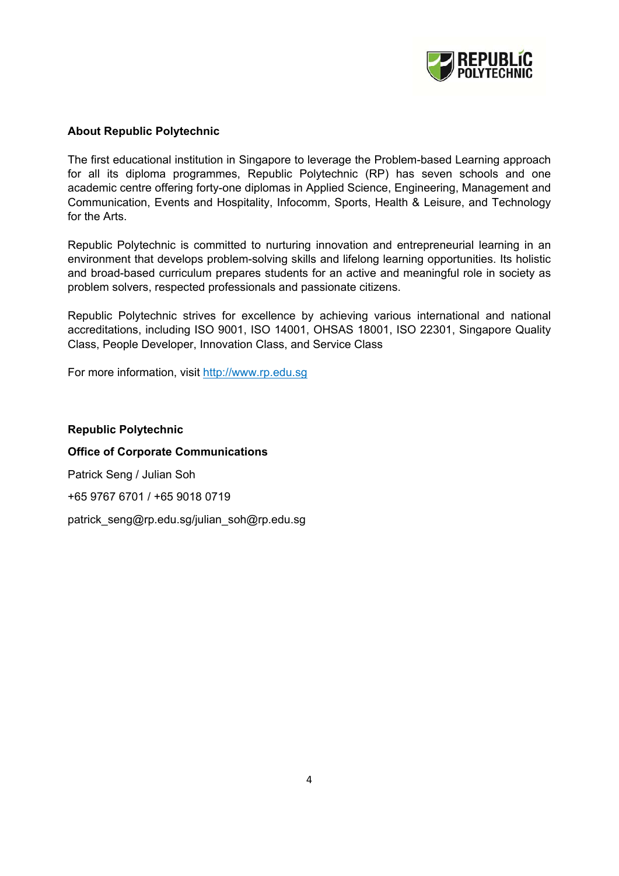

## **About Republic Polytechnic**

The first educational institution in Singapore to leverage the Problem-based Learning approach for all its diploma programmes, Republic Polytechnic (RP) has seven schools and one academic centre offering forty-one diplomas in Applied Science, Engineering, Management and Communication, Events and Hospitality, Infocomm, Sports, Health & Leisure, and Technology for the Arts.

Republic Polytechnic is committed to nurturing innovation and entrepreneurial learning in an environment that develops problem-solving skills and lifelong learning opportunities. Its holistic and broad-based curriculum prepares students for an active and meaningful role in society as problem solvers, respected professionals and passionate citizens.

Republic Polytechnic strives for excellence by achieving various international and national accreditations, including ISO 9001, ISO 14001, OHSAS 18001, ISO 22301, Singapore Quality Class, People Developer, Innovation Class, and Service Class

For more information, visit http://www.rp.edu.sg

**Republic Polytechnic Office of Corporate Communications**  Patrick Seng / Julian Soh +65 9767 6701 / +65 9018 0719 patrick\_seng@rp.edu.sg/julian\_soh@rp.edu.sg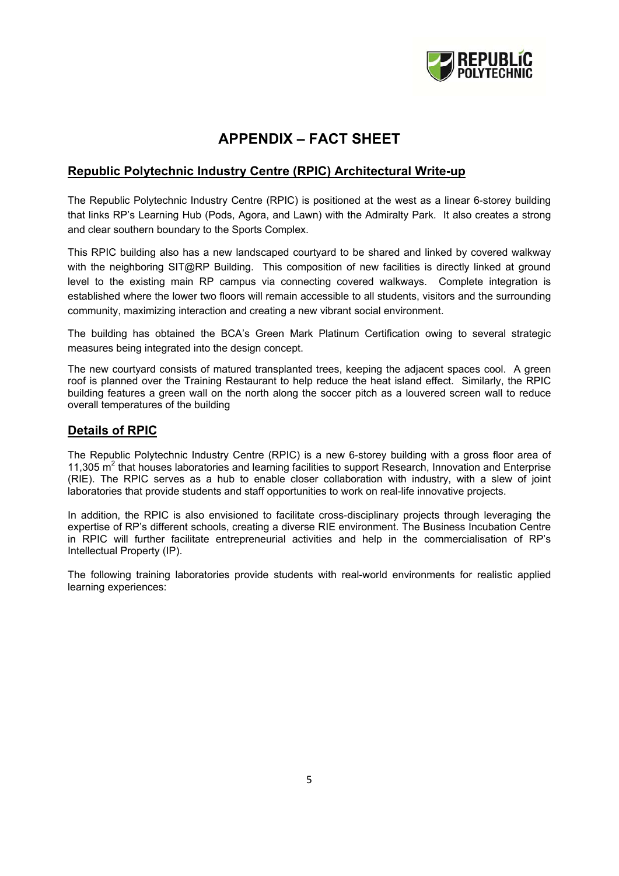

## **APPENDIX – FACT SHEET**

## **Republic Polytechnic Industry Centre (RPIC) Architectural Write-up**

The Republic Polytechnic Industry Centre (RPIC) is positioned at the west as a linear 6-storey building that links RP's Learning Hub (Pods, Agora, and Lawn) with the Admiralty Park. It also creates a strong and clear southern boundary to the Sports Complex.

This RPIC building also has a new landscaped courtyard to be shared and linked by covered walkway with the neighboring SIT@RP Building. This composition of new facilities is directly linked at ground level to the existing main RP campus via connecting covered walkways. Complete integration is established where the lower two floors will remain accessible to all students, visitors and the surrounding community, maximizing interaction and creating a new vibrant social environment.

The building has obtained the BCA's Green Mark Platinum Certification owing to several strategic measures being integrated into the design concept.

The new courtyard consists of matured transplanted trees, keeping the adjacent spaces cool. A green roof is planned over the Training Restaurant to help reduce the heat island effect. Similarly, the RPIC building features a green wall on the north along the soccer pitch as a louvered screen wall to reduce overall temperatures of the building

## **Details of RPIC**

The Republic Polytechnic Industry Centre (RPIC) is a new 6-storey building with a gross floor area of 11,305 m<sup>2</sup> that houses laboratories and learning facilities to support Research, Innovation and Enterprise (RIE). The RPIC serves as a hub to enable closer collaboration with industry, with a slew of joint laboratories that provide students and staff opportunities to work on real-life innovative projects.

In addition, the RPIC is also envisioned to facilitate cross-disciplinary projects through leveraging the expertise of RP's different schools, creating a diverse RIE environment. The Business Incubation Centre in RPIC will further facilitate entrepreneurial activities and help in the commercialisation of RP's Intellectual Property (IP).

The following training laboratories provide students with real-world environments for realistic applied learning experiences: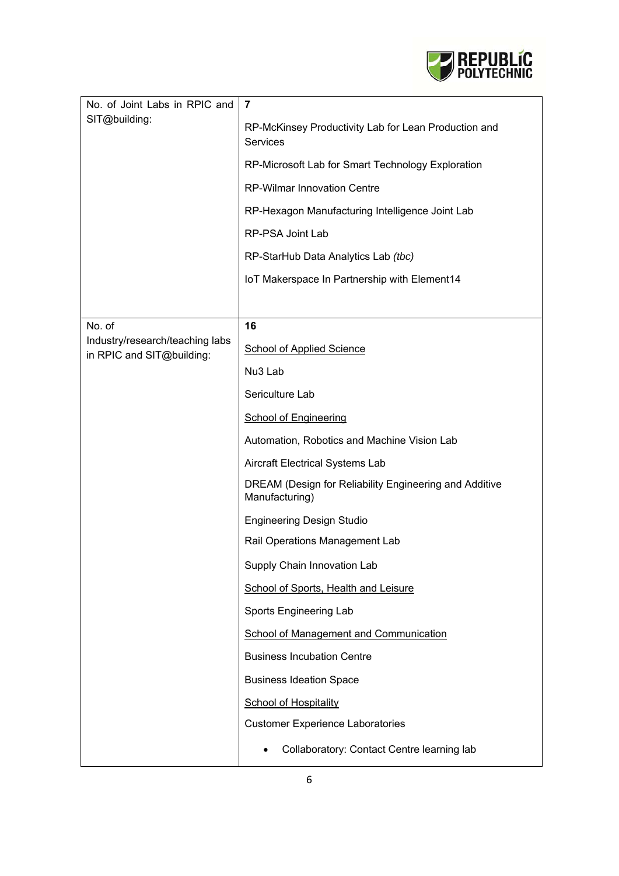

| No. of Joint Labs in RPIC and<br>SIT@building:               | $\overline{7}$                                                           |
|--------------------------------------------------------------|--------------------------------------------------------------------------|
|                                                              | RP-McKinsey Productivity Lab for Lean Production and<br><b>Services</b>  |
|                                                              | RP-Microsoft Lab for Smart Technology Exploration                        |
|                                                              | <b>RP-Wilmar Innovation Centre</b>                                       |
|                                                              | RP-Hexagon Manufacturing Intelligence Joint Lab                          |
|                                                              | RP-PSA Joint Lab                                                         |
|                                                              | RP-StarHub Data Analytics Lab (tbc)                                      |
|                                                              | IoT Makerspace In Partnership with Element14                             |
|                                                              |                                                                          |
| No. of                                                       | 16                                                                       |
| Industry/research/teaching labs<br>in RPIC and SIT@building: | <b>School of Applied Science</b>                                         |
|                                                              | Nu <sub>3</sub> Lab                                                      |
|                                                              | Sericulture Lab                                                          |
|                                                              | <b>School of Engineering</b>                                             |
|                                                              | Automation, Robotics and Machine Vision Lab                              |
|                                                              | Aircraft Electrical Systems Lab                                          |
|                                                              | DREAM (Design for Reliability Engineering and Additive<br>Manufacturing) |
|                                                              | <b>Engineering Design Studio</b>                                         |
|                                                              | Rail Operations Management Lab                                           |
|                                                              | Supply Chain Innovation Lab                                              |
|                                                              | School of Sports, Health and Leisure                                     |
|                                                              | Sports Engineering Lab                                                   |
|                                                              | School of Management and Communication                                   |
|                                                              | <b>Business Incubation Centre</b>                                        |
|                                                              | <b>Business Ideation Space</b>                                           |
|                                                              | <b>School of Hospitality</b>                                             |
|                                                              | <b>Customer Experience Laboratories</b>                                  |
|                                                              | Collaboratory: Contact Centre learning lab                               |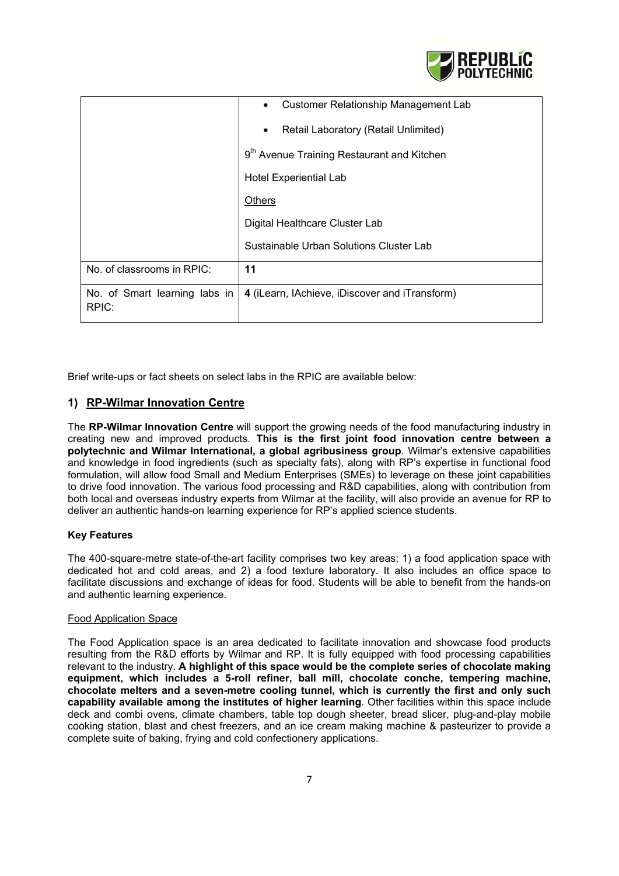

|                                        | Customer Relationship Management Lab                   |
|----------------------------------------|--------------------------------------------------------|
|                                        | Retail Laboratory (Retail Unlimited)                   |
|                                        | 9 <sup>th</sup> Avenue Training Restaurant and Kitchen |
|                                        | <b>Hotel Experiential Lab</b>                          |
|                                        | <b>Others</b>                                          |
|                                        | Digital Healthcare Cluster Lab                         |
|                                        | Sustainable Urban Solutions Cluster Lab                |
| No. of classrooms in RPIC:             | 11                                                     |
| No. of Smart learning labs in<br>RPIC: | 4 (iLearn, IAchieve, iDiscover and iTransform)         |

Brief write-ups or fact sheets on select labs in the RPIC are available below:

## **1) RP-Wilmar Innovation Centre**

The **RP-Wilmar Innovation Centre** will support the growing needs of the food manufacturing industry in creating new and improved products. **This is the first joint food innovation centre between a polytechnic and Wilmar International, a global agribusiness group**. Wilmar's extensive capabilities and knowledge in food ingredients (such as specialty fats), along with RP's expertise in functional food formulation, will allow food Small and Medium Enterprises (SMEs) to leverage on these joint capabilities to drive food innovation. The various food processing and R&D capabilities, along with contribution from both local and overseas industry experts from Wilmar at the facility, will also provide an avenue for RP to deliver an authentic hands-on learning experience for RP's applied science students.

## **Key Features**

The 400-square-metre state-of-the-art facility comprises two key areas; 1) a food application space with dedicated hot and cold areas, and 2) a food texture laboratory. It also includes an office space to facilitate discussions and exchange of ideas for food. Students will be able to benefit from the hands-on and authentic learning experience.

#### Food Application Space

The Food Application space is an area dedicated to facilitate innovation and showcase food products resulting from the R&D efforts by Wilmar and RP. It is fully equipped with food processing capabilities relevant to the industry. **A highlight of this space would be the complete series of chocolate making equipment, which includes a 5-roll refiner, ball mill, chocolate conche, tempering machine, chocolate melters and a seven-metre cooling tunnel, which is currently the first and only such capability available among the institutes of higher learning**. Other facilities within this space include deck and combi ovens, climate chambers, table top dough sheeter, bread slicer, plug-and-play mobile cooking station, blast and chest freezers, and an ice cream making machine & pasteurizer to provide a complete suite of baking, frying and cold confectionery applications.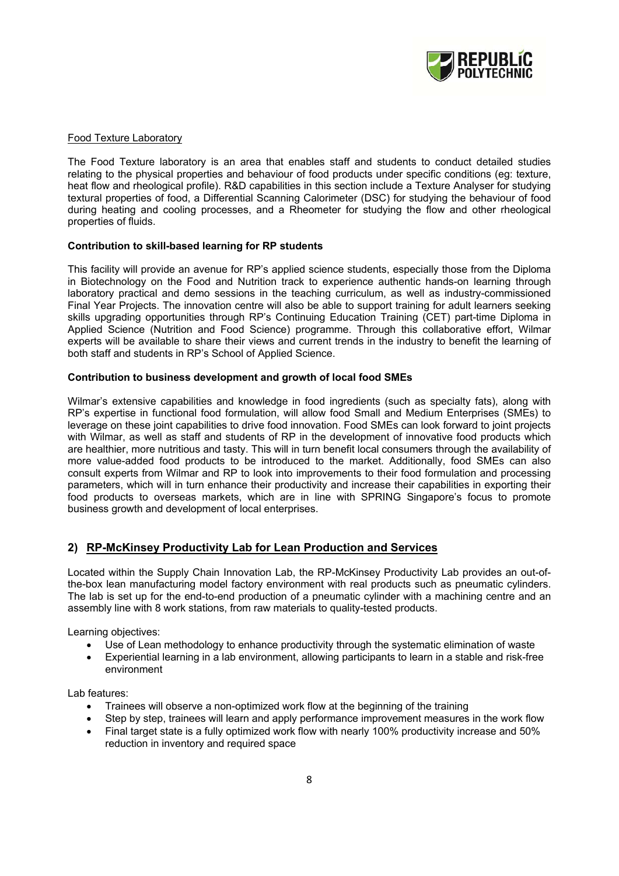

#### Food Texture Laboratory

The Food Texture laboratory is an area that enables staff and students to conduct detailed studies relating to the physical properties and behaviour of food products under specific conditions (eg: texture, heat flow and rheological profile). R&D capabilities in this section include a Texture Analyser for studying textural properties of food, a Differential Scanning Calorimeter (DSC) for studying the behaviour of food during heating and cooling processes, and a Rheometer for studying the flow and other rheological properties of fluids.

#### **Contribution to skill-based learning for RP students**

This facility will provide an avenue for RP's applied science students, especially those from the Diploma in Biotechnology on the Food and Nutrition track to experience authentic hands-on learning through laboratory practical and demo sessions in the teaching curriculum, as well as industry-commissioned Final Year Projects. The innovation centre will also be able to support training for adult learners seeking skills upgrading opportunities through RP's Continuing Education Training (CET) part-time Diploma in Applied Science (Nutrition and Food Science) programme. Through this collaborative effort, Wilmar experts will be available to share their views and current trends in the industry to benefit the learning of both staff and students in RP's School of Applied Science.

#### **Contribution to business development and growth of local food SMEs**

Wilmar's extensive capabilities and knowledge in food ingredients (such as specialty fats), along with RP's expertise in functional food formulation, will allow food Small and Medium Enterprises (SMEs) to leverage on these joint capabilities to drive food innovation. Food SMEs can look forward to joint projects with Wilmar, as well as staff and students of RP in the development of innovative food products which are healthier, more nutritious and tasty. This will in turn benefit local consumers through the availability of more value-added food products to be introduced to the market. Additionally, food SMEs can also consult experts from Wilmar and RP to look into improvements to their food formulation and processing parameters, which will in turn enhance their productivity and increase their capabilities in exporting their food products to overseas markets, which are in line with SPRING Singapore's focus to promote business growth and development of local enterprises.

## **2) RP-McKinsey Productivity Lab for Lean Production and Services**

Located within the Supply Chain Innovation Lab, the RP-McKinsey Productivity Lab provides an out-ofthe-box lean manufacturing model factory environment with real products such as pneumatic cylinders. The lab is set up for the end-to-end production of a pneumatic cylinder with a machining centre and an assembly line with 8 work stations, from raw materials to quality-tested products.

Learning objectives:

- Use of Lean methodology to enhance productivity through the systematic elimination of waste
- Experiential learning in a lab environment, allowing participants to learn in a stable and risk-free environment

Lab features:

- Trainees will observe a non-optimized work flow at the beginning of the training
- Step by step, trainees will learn and apply performance improvement measures in the work flow
- Final target state is a fully optimized work flow with nearly 100% productivity increase and 50% reduction in inventory and required space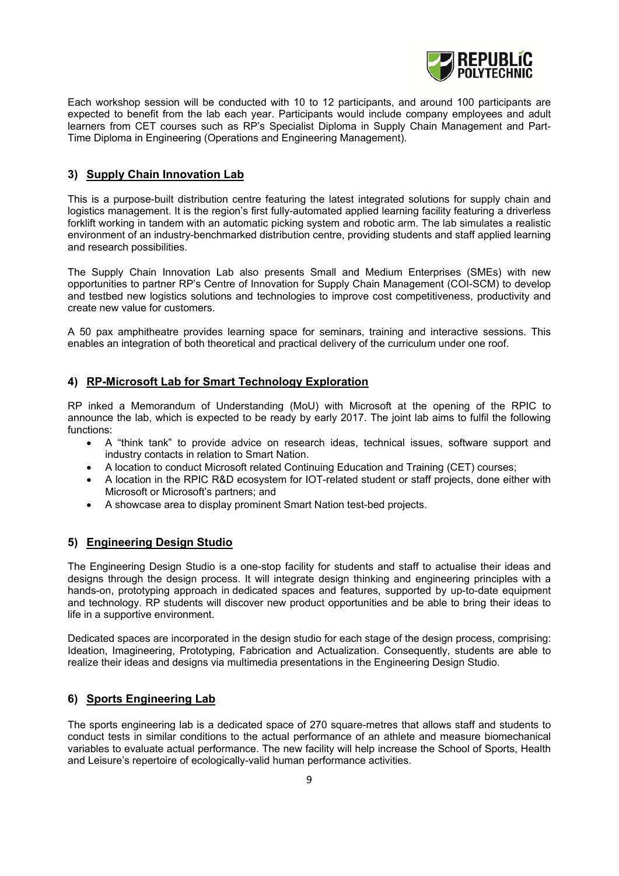

Each workshop session will be conducted with 10 to 12 participants, and around 100 participants are expected to benefit from the lab each year. Participants would include company employees and adult learners from CET courses such as RP's Specialist Diploma in Supply Chain Management and Part-Time Diploma in Engineering (Operations and Engineering Management).

## **3) Supply Chain Innovation Lab**

This is a purpose-built distribution centre featuring the latest integrated solutions for supply chain and logistics management. It is the region's first fully-automated applied learning facility featuring a driverless forklift working in tandem with an automatic picking system and robotic arm. The lab simulates a realistic environment of an industry-benchmarked distribution centre, providing students and staff applied learning and research possibilities.

The Supply Chain Innovation Lab also presents Small and Medium Enterprises (SMEs) with new opportunities to partner RP's Centre of Innovation for Supply Chain Management (COI-SCM) to develop and testbed new logistics solutions and technologies to improve cost competitiveness, productivity and create new value for customers.

A 50 pax amphitheatre provides learning space for seminars, training and interactive sessions. This enables an integration of both theoretical and practical delivery of the curriculum under one roof.

## **4) RP-Microsoft Lab for Smart Technology Exploration**

RP inked a Memorandum of Understanding (MoU) with Microsoft at the opening of the RPIC to announce the lab, which is expected to be ready by early 2017. The joint lab aims to fulfil the following functions:

- A "think tank" to provide advice on research ideas, technical issues, software support and industry contacts in relation to Smart Nation.
- A location to conduct Microsoft related Continuing Education and Training (CET) courses;
- A location in the RPIC R&D ecosystem for IOT-related student or staff projects, done either with Microsoft or Microsoft's partners; and
- A showcase area to display prominent Smart Nation test-bed projects.

## **5) Engineering Design Studio**

The Engineering Design Studio is a one-stop facility for students and staff to actualise their ideas and designs through the design process. It will integrate design thinking and engineering principles with a hands-on, prototyping approach in dedicated spaces and features, supported by up-to-date equipment and technology. RP students will discover new product opportunities and be able to bring their ideas to life in a supportive environment.

Dedicated spaces are incorporated in the design studio for each stage of the design process, comprising: Ideation, Imagineering, Prototyping, Fabrication and Actualization. Consequently, students are able to realize their ideas and designs via multimedia presentations in the Engineering Design Studio.

## **6) Sports Engineering Lab**

The sports engineering lab is a dedicated space of 270 square-metres that allows staff and students to conduct tests in similar conditions to the actual performance of an athlete and measure biomechanical variables to evaluate actual performance. The new facility will help increase the School of Sports, Health and Leisure's repertoire of ecologically-valid human performance activities.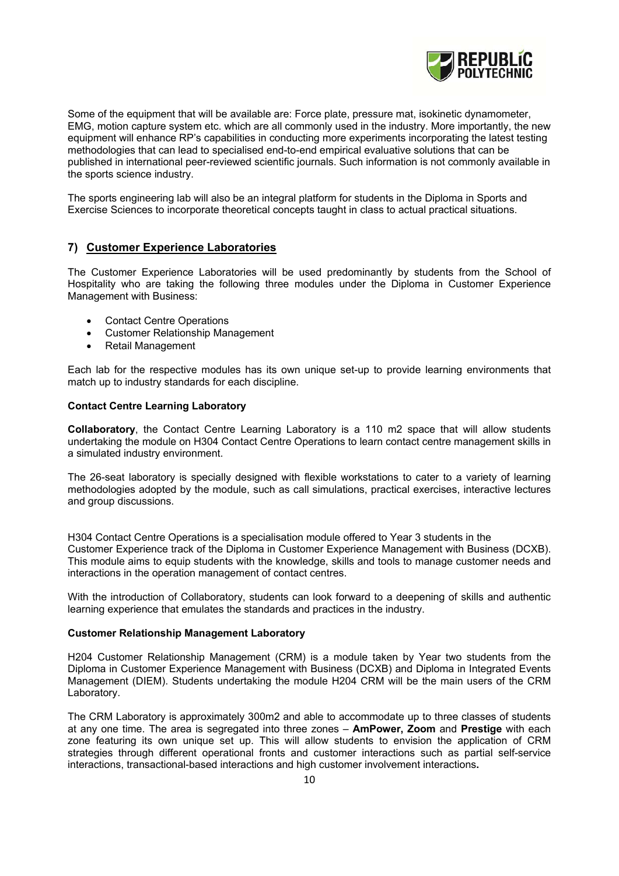

Some of the equipment that will be available are: Force plate, pressure mat, isokinetic dynamometer, EMG, motion capture system etc. which are all commonly used in the industry. More importantly, the new equipment will enhance RP's capabilities in conducting more experiments incorporating the latest testing methodologies that can lead to specialised end-to-end empirical evaluative solutions that can be published in international peer-reviewed scientific journals. Such information is not commonly available in the sports science industry.

The sports engineering lab will also be an integral platform for students in the Diploma in Sports and Exercise Sciences to incorporate theoretical concepts taught in class to actual practical situations.

#### **7) Customer Experience Laboratories**

The Customer Experience Laboratories will be used predominantly by students from the School of Hospitality who are taking the following three modules under the Diploma in Customer Experience Management with Business:

- Contact Centre Operations
- Customer Relationship Management
- Retail Management

Each lab for the respective modules has its own unique set-up to provide learning environments that match up to industry standards for each discipline.

#### **Contact Centre Learning Laboratory**

**Collaboratory**, the Contact Centre Learning Laboratory is a 110 m2 space that will allow students undertaking the module on H304 Contact Centre Operations to learn contact centre management skills in a simulated industry environment.

The 26-seat laboratory is specially designed with flexible workstations to cater to a variety of learning methodologies adopted by the module, such as call simulations, practical exercises, interactive lectures and group discussions.

H304 Contact Centre Operations is a specialisation module offered to Year 3 students in the Customer Experience track of the Diploma in Customer Experience Management with Business (DCXB). This module aims to equip students with the knowledge, skills and tools to manage customer needs and interactions in the operation management of contact centres.

With the introduction of Collaboratory, students can look forward to a deepening of skills and authentic learning experience that emulates the standards and practices in the industry.

#### **Customer Relationship Management Laboratory**

H204 Customer Relationship Management (CRM) is a module taken by Year two students from the Diploma in Customer Experience Management with Business (DCXB) and Diploma in Integrated Events Management (DIEM). Students undertaking the module H204 CRM will be the main users of the CRM Laboratory.

The CRM Laboratory is approximately 300m2 and able to accommodate up to three classes of students at any one time. The area is segregated into three zones – **AmPower, Zoom** and **Prestige** with each zone featuring its own unique set up. This will allow students to envision the application of CRM strategies through different operational fronts and customer interactions such as partial self-service interactions, transactional-based interactions and high customer involvement interactions**.**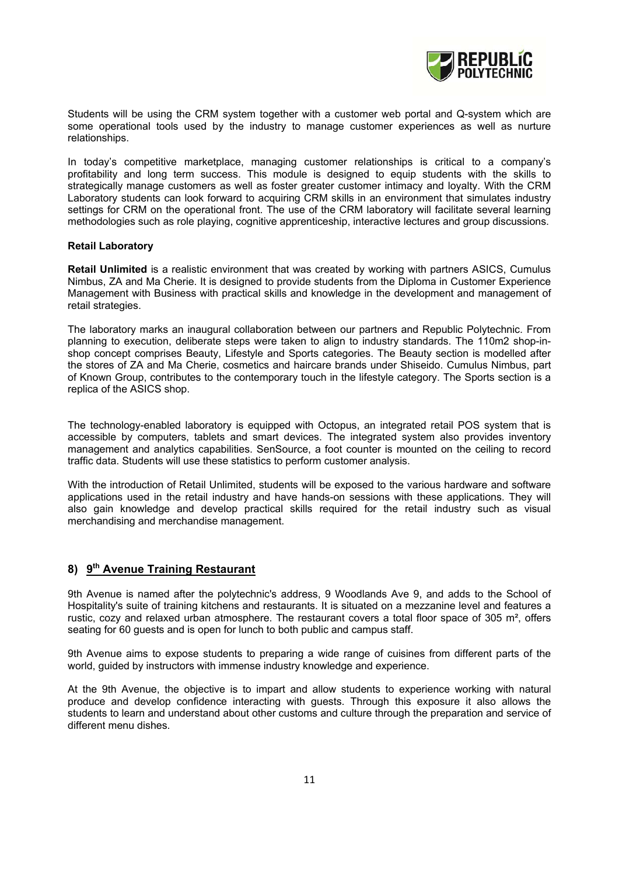

Students will be using the CRM system together with a customer web portal and Q-system which are some operational tools used by the industry to manage customer experiences as well as nurture relationships.

In today's competitive marketplace, managing customer relationships is critical to a company's profitability and long term success. This module is designed to equip students with the skills to strategically manage customers as well as foster greater customer intimacy and loyalty. With the CRM Laboratory students can look forward to acquiring CRM skills in an environment that simulates industry settings for CRM on the operational front. The use of the CRM laboratory will facilitate several learning methodologies such as role playing, cognitive apprenticeship, interactive lectures and group discussions.

#### **Retail Laboratory**

**Retail Unlimited** is a realistic environment that was created by working with partners ASICS, Cumulus Nimbus, ZA and Ma Cherie. It is designed to provide students from the Diploma in Customer Experience Management with Business with practical skills and knowledge in the development and management of retail strategies.

The laboratory marks an inaugural collaboration between our partners and Republic Polytechnic. From planning to execution, deliberate steps were taken to align to industry standards. The 110m2 shop-inshop concept comprises Beauty, Lifestyle and Sports categories. The Beauty section is modelled after the stores of ZA and Ma Cherie, cosmetics and haircare brands under Shiseido. Cumulus Nimbus, part of Known Group, contributes to the contemporary touch in the lifestyle category. The Sports section is a replica of the ASICS shop.

The technology-enabled laboratory is equipped with Octopus, an integrated retail POS system that is accessible by computers, tablets and smart devices. The integrated system also provides inventory management and analytics capabilities. SenSource, a foot counter is mounted on the ceiling to record traffic data. Students will use these statistics to perform customer analysis.

With the introduction of Retail Unlimited, students will be exposed to the various hardware and software applications used in the retail industry and have hands-on sessions with these applications. They will also gain knowledge and develop practical skills required for the retail industry such as visual merchandising and merchandise management.

## **8) 9th Avenue Training Restaurant**

9th Avenue is named after the polytechnic's address, 9 Woodlands Ave 9, and adds to the School of Hospitality's suite of training kitchens and restaurants. It is situated on a mezzanine level and features a rustic, cozy and relaxed urban atmosphere. The restaurant covers a total floor space of 305  $m^2$ , offers seating for 60 guests and is open for lunch to both public and campus staff.

9th Avenue aims to expose students to preparing a wide range of cuisines from different parts of the world, guided by instructors with immense industry knowledge and experience.

At the 9th Avenue, the objective is to impart and allow students to experience working with natural produce and develop confidence interacting with guests. Through this exposure it also allows the students to learn and understand about other customs and culture through the preparation and service of different menu dishes.